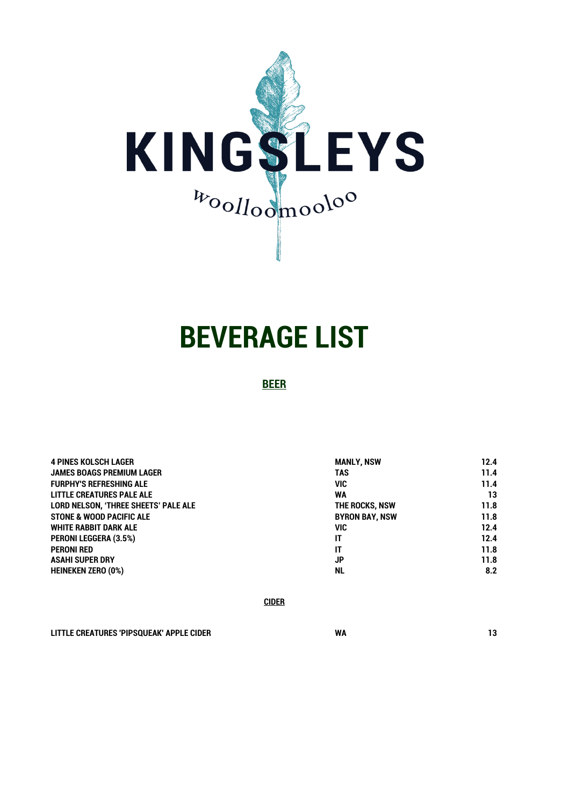

# **BEVERAGE LIST**

**BEER**

| <b>4 PINES KOLSCH LAGER</b>                 | <b>MANLY, NSW</b>     | 12.4 |
|---------------------------------------------|-----------------------|------|
| <b>JAMES BOAGS PREMIUM LAGER</b>            | <b>TAS</b>            | 11.4 |
| <b>FURPHY'S REFRESHING ALE</b>              | VIC                   | 11.4 |
| <b>LITTLE CREATURES PALE ALE</b>            | <b>WA</b>             | 13   |
| <b>LORD NELSON. 'THREE SHEETS' PALE ALE</b> | THE ROCKS, NSW        | 11.8 |
| <b>STONE &amp; WOOD PACIFIC ALE</b>         | <b>BYRON BAY, NSW</b> | 11.8 |
| WHITE RABBIT DARK ALE                       | VIC                   | 12.4 |
| <b>PERONI LEGGERA (3.5%)</b>                | IT                    | 12.4 |
| <b>PERONI RED</b>                           | IT                    | 11.8 |
| <b>ASAHI SUPER DRY</b>                      | <b>JP</b>             | 11.8 |
| <b>HEINEKEN ZERO (0%)</b>                   | <b>NL</b>             | 8.2  |

**CIDER**

**LITTLE CREATURES 'PIPSQUEAK' APPLE CIDER WA 13**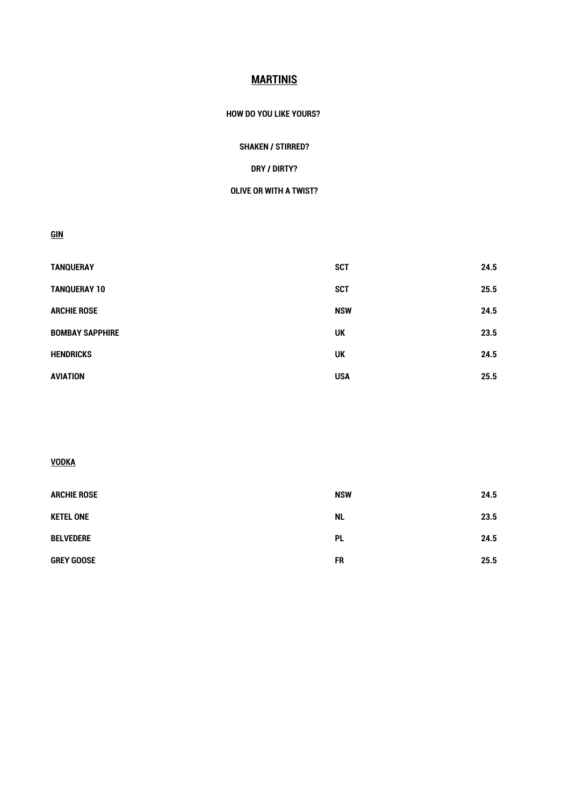# **MARTINIS**

#### **HOW DO YOU LIKE YOURS?**

## **SHAKEN / STIRRED?**

## **DRY / DIRTY?**

#### **OLIVE OR WITH A TWIST?**

**GIN**

| <b>TANQUERAY</b>       | <b>SCT</b> | 24.5 |
|------------------------|------------|------|
| <b>TANQUERAY 10</b>    | <b>SCT</b> | 25.5 |
| <b>ARCHIE ROSE</b>     | <b>NSW</b> | 24.5 |
| <b>BOMBAY SAPPHIRE</b> | UK         | 23.5 |
| <b>HENDRICKS</b>       | <b>UK</b>  | 24.5 |
| <b>AVIATION</b>        | <b>USA</b> | 25.5 |

# **VODKA**

| <b>ARCHIE ROSE</b> | <b>NSW</b> | 24.5 |
|--------------------|------------|------|
| <b>KETEL ONE</b>   | <b>NL</b>  | 23.5 |
| <b>BELVEDERE</b>   | <b>PL</b>  | 24.5 |
| <b>GREY GOOSE</b>  | <b>FR</b>  | 25.5 |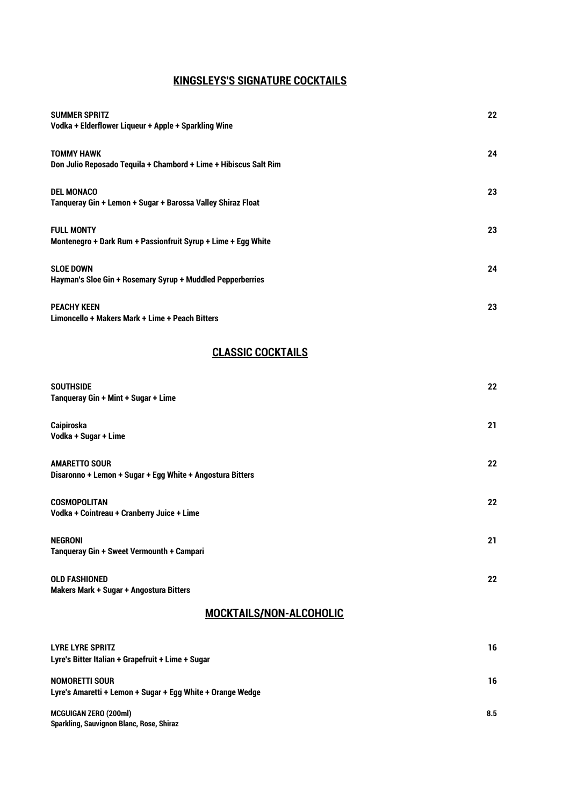# **KINGSLEYS'S SIGNATURE COCKTAILS**

| <b>SUMMER SPRITZ</b><br>Vodka + Elderflower Liqueur + Apple + Sparkling Wine          | 22 |
|---------------------------------------------------------------------------------------|----|
| <b>TOMMY HAWK</b><br>Don Julio Reposado Tequila + Chambord + Lime + Hibiscus Salt Rim | 24 |
| <b>DEL MONACO</b><br>Tanqueray Gin + Lemon + Sugar + Barossa Valley Shiraz Float      | 23 |
| <b>FULL MONTY</b><br>Montenegro + Dark Rum + Passionfruit Syrup + Lime + Egg White    | 23 |
| <b>SLOE DOWN</b><br>Hayman's Sloe Gin + Rosemary Syrup + Muddled Pepperberries        | 24 |
| <b>PEACHY KEEN</b><br>Limoncello + Makers Mark + Lime + Peach Bitters                 | 23 |

# **CLASSIC COCKTAILS**

| <b>SOUTHSIDE</b><br>Tanqueray Gin + Mint + Sugar + Lime                           | 22               |
|-----------------------------------------------------------------------------------|------------------|
| Caipiroska<br>Vodka + Sugar + Lime                                                | 21               |
| <b>AMARETTO SOUR</b><br>Disaronno + Lemon + Sugar + Egg White + Angostura Bitters | 22               |
| <b>COSMOPOLITAN</b><br>Vodka + Cointreau + Cranberry Juice + Lime                 | $22\phantom{.0}$ |
| <b>NEGRONI</b><br>Tanqueray Gin + Sweet Vermounth + Campari                       | 21               |
| <b>OLD FASHIONED</b><br>Makers Mark + Sugar + Angostura Bitters                   | 22               |

# **MOCKTAILS/NON-ALCOHOLIC**

| <b>LYRE LYRE SPRITZ</b><br>Lyre's Bitter Italian + Grapefruit + Lime + Sugar        | 16  |
|-------------------------------------------------------------------------------------|-----|
| <b>NOMORETTI SOUR</b><br>Lyre's Amaretti + Lemon + Sugar + Egg White + Orange Wedge | 16  |
| <b>MCGUIGAN ZERO (200ml)</b><br><b>Sparkling, Sauvignon Blanc, Rose, Shiraz</b>     | 8.5 |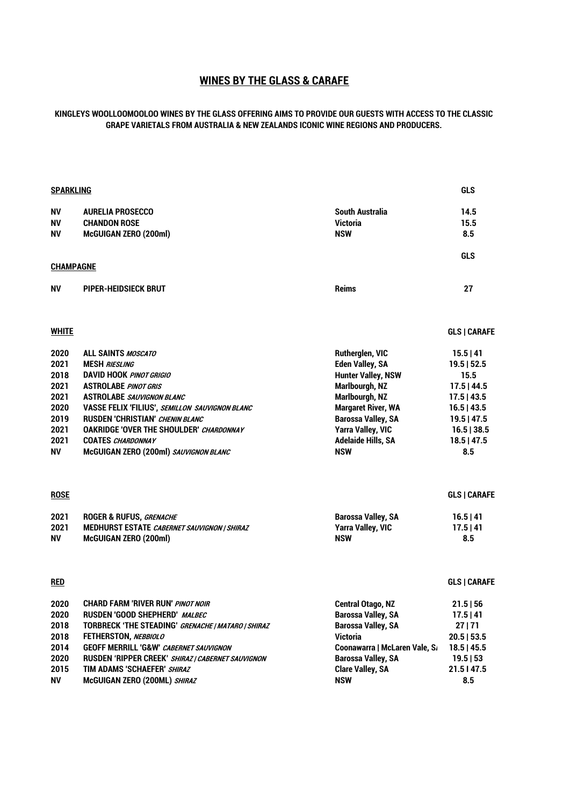# **WINES BY THE GLASS & CARAFE**

#### **KINGLEYS WOOLLOOMOOLOO WINES BY THE GLASS OFFERING AIMS TO PROVIDE OUR GUESTS WITH ACCESS TO THE CLASSIC GRAPE VARIETALS FROM AUSTRALIA & NEW ZEALANDS ICONIC WINE REGIONS AND PRODUCERS.**

| <u>SPARKLING</u> |                                                       |                               | <b>GLS</b>    |
|------------------|-------------------------------------------------------|-------------------------------|---------------|
| ΝV               | <b>AURELIA PROSECCO</b>                               | <b>South Australia</b>        | 14.5          |
| NV               | <b>CHANDON ROSE</b>                                   | <b>Victoria</b>               | 15.5          |
| ΝV               | <b>McGUIGAN ZERO (200ml)</b>                          | <b>NSW</b>                    | 8.5           |
| <u>CHAMPAGNE</u> |                                                       |                               | <b>GLS</b>    |
|                  |                                                       |                               |               |
| NV               | PIPER-HEIDSIECK BRUT                                  | <b>Reims</b>                  | 27            |
| <u>WHITE</u>     |                                                       |                               | GLS   CARAFE  |
| 2020             | <b>ALL SAINTS MOSCATO</b>                             | Rutherglen, VIC               | 15.5 41       |
| 2021             | <b>MESH RIESLING</b>                                  | <b>Eden Valley, SA</b>        | $19.5$   52.5 |
| 2018             | <b>DAVID HOOK PINOT GRIGIO</b>                        | <b>Hunter Valley, NSW</b>     | 15.5          |
| 2021             | <b>ASTROLABE PINOT GRIS</b>                           | Marlbourgh, NZ                | $17.5$   44.5 |
| 2021             | <b>ASTROLABE SAUVIGNON BLANC</b>                      | Marlbourgh, NZ                | $17.5$   43.5 |
| 2020             | <b>VASSE FELIX 'FILIUS', SEMILLON SAUVIGNON BLANC</b> | <b>Margaret River, WA</b>     | $16.5$   43.5 |
| 2019             | <b>RUSDEN 'CHRISTIAN' CHENIN BLANC</b>                | <b>Barossa Valley, SA</b>     | $19.5$   47.5 |
| 2021             | <b>OAKRIDGE 'OVER THE SHOULDER' CHARDONNAY</b>        | <b>Yarra Valley, VIC</b>      | 16.5   38.5   |
| 2021             | <b>COATES CHARDONNAY</b>                              | <b>Adelaide Hills, SA</b>     | $18.5$   47.5 |
| NV               | McGUIGAN ZERO (200ml) SAUVIGNON BLANC                 | <b>NSW</b>                    | 8.5           |
| <b>ROSE</b>      |                                                       |                               | GLS   CARAFE  |
| 2021             | ROGER & RUFUS, GRENACHE                               | <b>Barossa Valley, SA</b>     | 16.5 41       |
| 2021             | <b>MEDHURST ESTATE CABERNET SAUVIGNON   SHIRAZ</b>    | <b>Yarra Valley, VIC</b>      | $17.5$   41   |
| <b>NV</b>        | <b>McGUIGAN ZERO (200ml)</b>                          | <b>NSW</b>                    | 8.5           |
| <u>red</u>       |                                                       |                               | GLS   CARAFE  |
| 2020             | <b>CHARD FARM 'RIVER RUN' PINOT NOIR</b>              | <b>Central Otago, NZ</b>      | $21.5$   56   |
| 2020             | <b>RUSDEN 'GOOD SHEPHERD' MALBEC</b>                  | <b>Barossa Valley, SA</b>     | 17.5 41       |
| 2018             | TORBRECK 'THE STEADING' GRENACHE   MATARO   SHIRAZ    | <b>Barossa Valley, SA</b>     | 27 71         |
| 2018             | FETHERSTON, NEBBIOLO                                  | <b>Victoria</b>               | $20.5$   53.5 |
| 2014             | <b>GEOFF MERRILL 'G&amp;W' CABERNET SAUVIGNON</b>     | Coonawarra   McLaren Vale, S. | 18.5   45.5   |
| 2020             | RUSDEN 'RIPPER CREEK' SHIRAZ   CABERNET SAUVIGNON     | <b>Barossa Valley, SA</b>     | 19.5 53       |
| 2015             | TIM ADAMS 'SCHAEFER' SHIRAZ                           | <b>Clare Valley, SA</b>       | 21.5147.5     |
| NV               | McGUIGAN ZERO (200ML) SHIRAZ                          | <b>NSW</b>                    | 8.5           |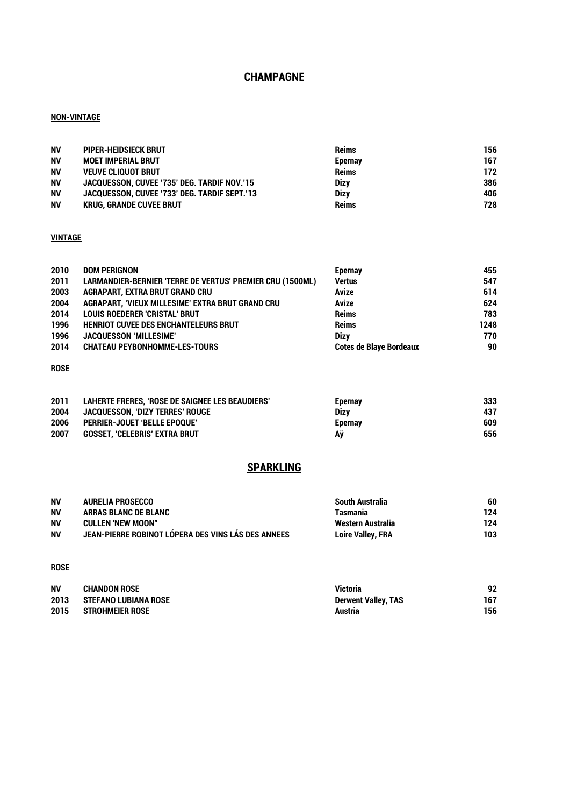# **CHAMPAGNE**

#### **NON-VINTAGE**

| <b>NV</b> | PIPER-HEIDSIECK BRUT                         | <b>Reims</b> | 156 |
|-----------|----------------------------------------------|--------------|-----|
| <b>NV</b> | <b>MOET IMPERIAL BRUT</b>                    | Epernay      | 167 |
| <b>NV</b> | <b>VEUVE CLIQUOT BRUT</b>                    | <b>Reims</b> | 172 |
| <b>NV</b> | JACQUESSON, CUVEE '735' DEG. TARDIF NOV.'15  | <b>Dizy</b>  | 386 |
| <b>NV</b> | JACQUESSON, CUVEE '733' DEG. TARDIF SEPT.'13 | <b>Dizv</b>  | 406 |
| <b>NV</b> | <b>KRUG. GRANDE CUVEE BRUT</b>               | <b>Reims</b> | 728 |

#### **VINTAGE**

| 2010 | <b>DOM PERIGNON</b>                                              | <b>Epernay</b>                 | 455  |
|------|------------------------------------------------------------------|--------------------------------|------|
| 2011 | <b>LARMANDIER-BERNIER 'TERRE DE VERTUS' PREMIER CRU (1500ML)</b> | <b>Vertus</b>                  | 547  |
| 2003 | <b>AGRAPART, EXTRA BRUT GRAND CRU</b>                            | Avize                          | 614  |
| 2004 | AGRAPART, 'VIEUX MILLESIME' EXTRA BRUT GRAND CRU                 | Avize                          | 624  |
| 2014 | <b>LOUIS ROEDERER 'CRISTAL' BRUT</b>                             | <b>Reims</b>                   | 783  |
| 1996 | <b>HENRIOT CUVEE DES ENCHANTELEURS BRUT</b>                      | <b>Reims</b>                   | 1248 |
| 1996 | <b>JACQUESSON 'MILLESIME'</b>                                    | <b>Dizv</b>                    | 770  |
| 2014 | <b>CHATEAU PEYBONHOMME-LES-TOURS</b>                             | <b>Cotes de Blave Bordeaux</b> | 90   |

## **ROSE**

| 2011 | LAHERTE FRERES, 'ROSE DE SAIGNEE LES BEAUDIERS' | <b>Epernay</b> | 333 |
|------|-------------------------------------------------|----------------|-----|
| 2004 | JACQUESSON. 'DIZY TERRES' ROUGE                 | <b>Dizv</b>    | 437 |
| 2006 | <b>PERRIER-JOUET 'BELLE EPOQUE'</b>             | <b>Epernav</b> | 609 |
| 2007 | <b>GOSSET. 'CELEBRIS' EXTRA BRUT</b>            | Aÿ             | 656 |

# **SPARKLING**

| <b>NV</b> | AURELIA PROSECCO                                   | South Australia          | 60  |
|-----------|----------------------------------------------------|--------------------------|-----|
| <b>NV</b> | ARRAS BLANC DE BLANC                               | Tasmania                 | 124 |
| <b>NV</b> | <b>CULLEN 'NEW MOON"</b>                           | Western Australia        | 124 |
| <b>NV</b> | JEAN-PIERRE ROBINOT LÓPERA DES VINS LÁS DES ANNEES | <b>Loire Valley, FRA</b> | 103 |

#### **ROSE**

| <b>NV</b> | <b>CHANDON ROSE</b>    | <b>Victoria</b>            | 92  |
|-----------|------------------------|----------------------------|-----|
| 2013      | STEFANO LUBIANA ROSE   | <b>Derwent Valley, TAS</b> | 167 |
| 2015      | <b>STROHMEIER ROSE</b> | Austria                    | 156 |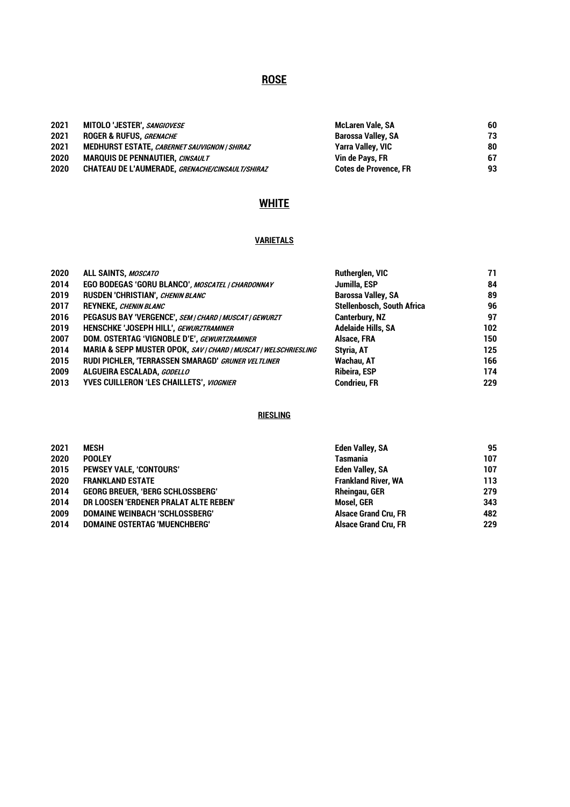# **ROSE**

| 2021 | MITOLO 'JESTER', SANGIOVESE                         | McLaren Vale, SA             | 60  |
|------|-----------------------------------------------------|------------------------------|-----|
| 2021 | <b>ROGER &amp; RUFUS, GRENACHE</b>                  | Barossa Valley, SA           | 73  |
| 2021 | <b>MEDHURST ESTATE, CABERNET SAUVIGNON   SHIRAZ</b> | Yarra Valley, VIC            | 80  |
| 2020 | <b>MARQUIS DE PENNAUTIER.</b> CINSAULT              | Vin de Pavs. FR              | -67 |
| 2020 | CHATEAU DE L'AUMERADE, GRENACHE/CINSAULT/SHIRAZ     | <b>Cotes de Provence. FR</b> | 93  |

# **WHITE**

# **VARIETALS**

| 2020 | ALL SAINTS, MOSCATO                                             | Rutherglen, VIC                   | 71  |
|------|-----------------------------------------------------------------|-----------------------------------|-----|
| 2014 | EGO BODEGAS 'GORU BLANCO', MOSCATEL   CHARDONNAY                | Jumilla, ESP                      | 84  |
| 2019 | RUSDEN 'CHRISTIAN', CHENIN BLANC                                | <b>Barossa Valley, SA</b>         | 89  |
| 2017 | <b>REYNEKE, CHENIN BLANC</b>                                    | <b>Stellenbosch, South Africa</b> | 96  |
| 2016 | PEGASUS BAY 'VERGENCE', SEM   CHARD   MUSCAT   GEWURZT          | <b>Canterbury, NZ</b>             | 97  |
| 2019 | HENSCHKE 'JOSEPH HILL', GEWURZTRAMINER                          | <b>Adelaide Hills, SA</b>         | 102 |
| 2007 | DOM. OSTERTAG 'VIGNOBLE D'E', GEWURTZRAMINER                    | Alsace, FRA                       | 150 |
| 2014 | MARIA & SEPP MUSTER OPOK, SAV   CHARD   MUSCAT   WELSCHRIESLING | Styria, AT                        | 125 |
| 2015 | RUDI PICHLER, 'TERRASSEN SMARAGD' GRUNER VELTLINER              | Wachau, AT                        | 166 |
| 2009 | ALGUEIRA ESCALADA, GODELLO                                      | <b>Ribeira, ESP</b>               | 174 |
| 2013 | <b>YVES CUILLERON 'LES CHAILLETS', VIOGNIER</b>                 | <b>Condrieu, FR</b>               | 229 |

## **RIESLING**

| 2021 | <b>MESH</b>                             | <b>Eden Valley, SA</b>      | 95  |
|------|-----------------------------------------|-----------------------------|-----|
| 2020 | <b>POOLEY</b>                           | <b>Tasmania</b>             | 107 |
| 2015 | PEWSEY VALE, 'CONTOURS'                 | Eden Valley, SA             | 107 |
| 2020 | <b>FRANKLAND ESTATE</b>                 | <b>Frankland River, WA</b>  | 113 |
| 2014 | <b>GEORG BREUER, 'BERG SCHLOSSBERG'</b> | <b>Rheingau, GER</b>        | 279 |
| 2014 | DR LOOSEN 'ERDENER PRALAT ALTE REBEN'   | <b>Mosel. GER</b>           | 343 |
| 2009 | DOMAINE WEINBACH 'SCHLOSSBERG'          | <b>Alsace Grand Cru. FR</b> | 482 |
| 2014 | DOMAINE OSTERTAG 'MUENCHBERG'           | <b>Alsace Grand Cru, FR</b> | 229 |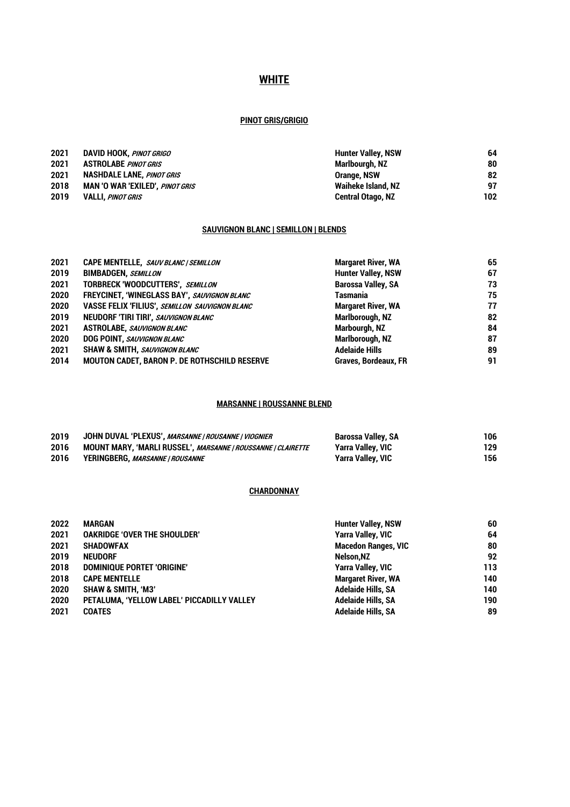# **WHITE**

#### **PINOT GRIS/GRIGIO**

| 2021 | DAVID HOOK, <i>PINOT GRIGO</i>   | <b>Hunter Valley, NSW</b> | 64  |
|------|----------------------------------|---------------------------|-----|
| 2021 | <b>ASTROLABE PINOT GRIS</b>      | Marlbourgh, NZ            | 80  |
| 2021 | <b>NASHDALE LANE.</b> PINOT GRIS | <b>Orange, NSW</b>        | 82  |
| 2018 | MAN 'O WAR 'EXILED', PINOT GRIS  | Waiheke Island, NZ        | 97  |
| 2019 | <b>VALLI, PINOT GRIS</b>         | <b>Central Otago, NZ</b>  | 102 |

## **SAUVIGNON BLANC | SEMILLON | BLENDS**

| CAPE MENTELLE, SAUV BLANC / SEMILLON                | <b>Margaret River, WA</b>   | 65 |
|-----------------------------------------------------|-----------------------------|----|
| <b>BIMBADGEN, SEMILLON</b>                          | <b>Hunter Valley, NSW</b>   | 67 |
| TORBRECK 'WOODCUTTERS', SEMILLON                    | <b>Barossa Valley, SA</b>   | 73 |
| FREYCINET, 'WINEGLASS BAY', SAUVIGNON BLANC         | <b>Tasmania</b>             | 75 |
| VASSE FELIX 'FILIUS', SEMILLON SAUVIGNON BLANC      | <b>Margaret River, WA</b>   | 77 |
| NEUDORF 'TIRI TIRI', SAUVIGNON BLANC                | Marlborough, NZ             | 82 |
| <b>ASTROLABE, SAUVIGNON BLANC</b>                   | Marbourgh, NZ               | 84 |
| <b>DOG POINT, SAUVIGNON BLANC</b>                   | Marlborough, NZ             | 87 |
| SHAW & SMITH, SAUVIGNON BLANC                       | <b>Adelaide Hills</b>       | 89 |
| <b>MOUTON CADET, BARON P. DE ROTHSCHILD RESERVE</b> | <b>Graves, Bordeaux, FR</b> | 91 |
|                                                     |                             |    |

## **MARSANNE | ROUSSANNE BLEND**

| 2019 | JOHN DUVAL 'PLEXUS', <i>MARSANNE   ROUSANNE   VIOGNIER</i>   | Barossa Valley, SA       | 106 |
|------|--------------------------------------------------------------|--------------------------|-----|
| 2016 | MOUNT MARY, 'MARLI RUSSEL', MARSANNE   ROUSSANNE   CLAIRETTE | Yarra Valley, VIC        | 129 |
| 2016 | YERINGBERG, <i>MARSANNE   ROUSANNE</i>                       | <b>Yarra Valley, VIC</b> | 156 |

#### **CHARDONNAY**

| 2022 | MARGAN                                     | <b>Hunter Valley, NSW</b>  | 60  |
|------|--------------------------------------------|----------------------------|-----|
| 2021 | <b>OAKRIDGE 'OVER THE SHOULDER'</b>        | <b>Yarra Valley, VIC</b>   | 64  |
| 2021 | <b>SHADOWFAX</b>                           | <b>Macedon Ranges, VIC</b> | 80  |
| 2019 | <b>NEUDORF</b>                             | Nelson.NZ                  | 92  |
| 2018 | <b>DOMINIQUE PORTET 'ORIGINE'</b>          | <b>Yarra Valley, VIC</b>   | 113 |
| 2018 | <b>CAPE MENTELLE</b>                       | <b>Margaret River, WA</b>  | 140 |
| 2020 | <b>SHAW &amp; SMITH. 'M3'</b>              | <b>Adelaide Hills, SA</b>  | 140 |
| 2020 | PETALUMA, 'YELLOW LABEL' PICCADILLY VALLEY | <b>Adelaide Hills, SA</b>  | 190 |
| 2021 | <b>COATES</b>                              | <b>Adelaide Hills, SA</b>  | 89  |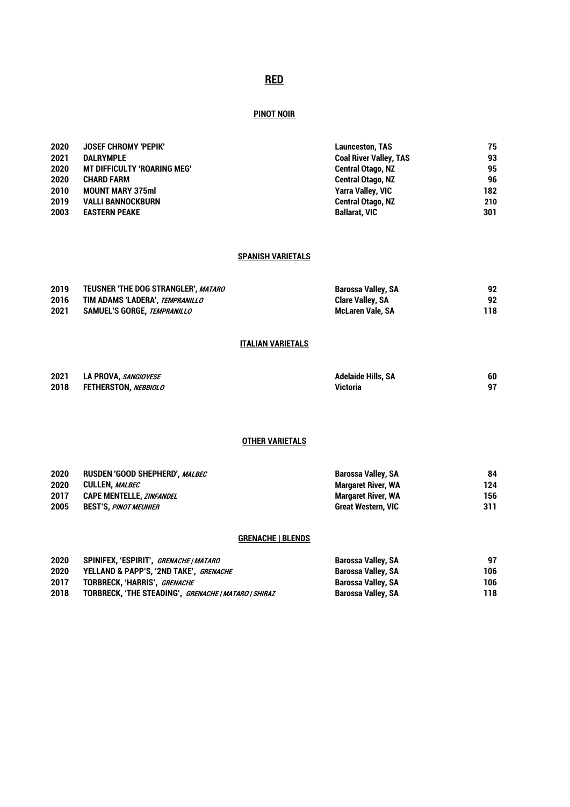# **RED**

## **PINOT NOIR**

| 2020 | JOSEF CHROMY 'PEPIK'               | <b>Launceston, TAS</b>        | 75  |
|------|------------------------------------|-------------------------------|-----|
| 2021 | <b>DALRYMPLE</b>                   | <b>Coal River Valley, TAS</b> | 93  |
| 2020 | <b>MT DIFFICULTY 'ROARING MEG'</b> | <b>Central Otago, NZ</b>      | 95  |
| 2020 | <b>CHARD FARM</b>                  | <b>Central Otago, NZ</b>      | 96  |
| 2010 | <b>MOUNT MARY 375ml</b>            | <b>Yarra Valley, VIC</b>      | 182 |
| 2019 | <b>VALLI BANNOCKBURN</b>           | <b>Central Otago, NZ</b>      | 210 |
| 2003 | <b>EASTERN PEAKE</b>               | <b>Ballarat, VIC</b>          | 301 |

#### **SPANISH VARIETALS**

| 2019 | TEUSNER 'THE DOG STRANGLER'. MATARO | <b>Barossa Valley, SA</b> | 92  |
|------|-------------------------------------|---------------------------|-----|
| 2016 | TIM ADAMS 'LADERA'. TEMPRANILLO     | <b>Clare Valley, SA</b>   | 92  |
| 2021 | SAMUEL'S GORGE, TEMPRANILLO         | McLaren Vale. SA          | 118 |

## **ITALIAN VARIETALS**

| 2021 | LA PROVA. <i>SANGIOVESE</i> | <b>Adelaide Hills, SA</b> | 60 |
|------|-----------------------------|---------------------------|----|
| 2018 | FETHERSTON. <i>NEBBIOLO</i> | Victoria                  |    |

## **OTHER VARIETALS**

| 2020 | RUSDEN 'GOOD SHEPHERD'. MALBEC  | <b>Barossa Valley, SA</b> | 84  |
|------|---------------------------------|---------------------------|-----|
| 2020 | CULLEN. <i>MALBEC</i>           | Margaret River, WA        | 124 |
| 2017 | <b>CAPE MENTELLE, ZINFANDEL</b> | <b>Margaret River, WA</b> | 156 |
| 2005 | BEST'S, <i>PINOT MEUNIER</i>    | <b>Great Western, VIC</b> | 311 |

## **GRENACHE | BLENDS**

| 2020 | SPINIFEX, 'ESPIRIT', <i>GRENACHE   MATARO</i>        | Barossa Valley, SA | 97  |
|------|------------------------------------------------------|--------------------|-----|
| 2020 | YELLAND & PAPP'S, '2ND TAKE', GRENACHE               | Barossa Valley, SA | 106 |
| 2017 | TORBRECK. 'HARRIS'. GRENACHE                         | Barossa Valley, SA | 106 |
| 2018 | TORBRECK, 'THE STEADING', GRENACHE   MATARO   SHIRAZ | Barossa Valley, SA | 118 |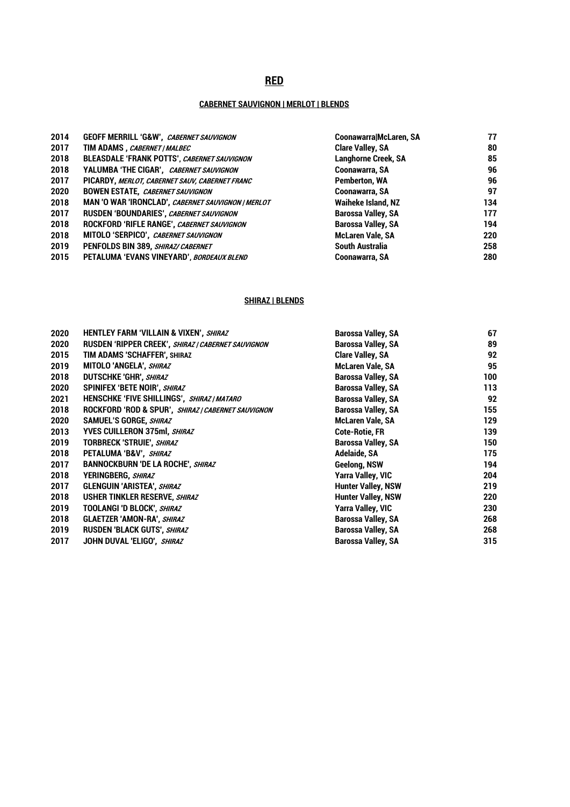# **RED**

## **CABERNET SAUVIGNON | MERLOT | BLENDS**

| 2014 | GEOFF MERRILL 'G&W', CABERNET SAUVIGNON            | Coonawarra McLaren, SA     | 77  |
|------|----------------------------------------------------|----------------------------|-----|
| 2017 | TIM ADAMS, CABERNET / MALBEC                       | <b>Clare Valley, SA</b>    | 80  |
| 2018 | <b>BLEASDALE 'FRANK POTTS', CABERNET SAUVIGNON</b> | <b>Langhorne Creek, SA</b> | 85  |
| 2018 | YALUMBA 'THE CIGAR', CABERNET SAUVIGNON            | <b>Coonawarra, SA</b>      | 96  |
| 2017 | PICARDY, MERLOT, CABERNET SAUV, CABERNET FRANC     | Pemberton, WA              | 96  |
| 2020 | <b>BOWEN ESTATE, CABERNET SAUVIGNON</b>            | <b>Coonawarra, SA</b>      | 97  |
| 2018 | MAN 'O WAR 'IRONCLAD', CABERNET SAUVIGNON   MERLOT | <b>Waiheke Island, NZ</b>  | 134 |
| 2017 | RUSDEN 'BOUNDARIES', CABERNET SAUVIGNON            | <b>Barossa Valley, SA</b>  | 177 |
| 2018 | ROCKFORD 'RIFLE RANGE', CABERNET SAUVIGNON         | <b>Barossa Valley, SA</b>  | 194 |
| 2018 | MITOLO 'SERPICO', CABERNET SAUVIGNON               | <b>McLaren Vale, SA</b>    | 220 |
| 2019 | PENFOLDS BIN 389, SHIRAZ/ CABERNET                 | <b>South Australia</b>     | 258 |
| 2015 | PETALUMA 'EVANS VINEYARD', BORDEAUX BLEND          | Coonawarra, SA             | 280 |

## **SHIRAZ | BLENDS**

| 2020<br>RUSDEN 'RIPPER CREEK', SHIRAZ   CABERNET SAUVIGNON<br><b>Barossa Valley, SA</b><br>TIM ADAMS 'SCHAFFER', SHIRAZ<br>2015<br><b>Clare Valley, SA</b><br>MITOLO 'ANGELA', SHIRAZ<br><b>McLaren Vale, SA</b><br>2019<br>2018<br><b>DUTSCHKE 'GHR', SHIRAZ</b><br><b>Barossa Valley, SA</b><br>SPINIFEX 'BETE NOIR', SHIRAZ<br>2020<br><b>Barossa Valley, SA</b><br><b>Barossa Valley, SA</b><br>2021<br>HENSCHKE 'FIVE SHILLINGS', SHIRAZ/MATARO<br>2018<br>ROCKFORD 'ROD & SPUR', SHIRAZ   CABERNET SAUVIGNON<br><b>Barossa Valley, SA</b><br>2020<br>SAMUEL'S GORGE, SHIRAZ<br><b>McLaren Vale, SA</b><br><b>YVES CUILLERON 375ml, SHIRAZ</b><br><b>Cote-Rotie, FR</b><br>2013<br>2019<br><b>TORBRECK 'STRUIE', SHIRAZ</b><br><b>Barossa Valley, SA</b> | 89<br>92<br>95 |
|---------------------------------------------------------------------------------------------------------------------------------------------------------------------------------------------------------------------------------------------------------------------------------------------------------------------------------------------------------------------------------------------------------------------------------------------------------------------------------------------------------------------------------------------------------------------------------------------------------------------------------------------------------------------------------------------------------------------------------------------------------------|----------------|
|                                                                                                                                                                                                                                                                                                                                                                                                                                                                                                                                                                                                                                                                                                                                                               |                |
|                                                                                                                                                                                                                                                                                                                                                                                                                                                                                                                                                                                                                                                                                                                                                               |                |
|                                                                                                                                                                                                                                                                                                                                                                                                                                                                                                                                                                                                                                                                                                                                                               |                |
|                                                                                                                                                                                                                                                                                                                                                                                                                                                                                                                                                                                                                                                                                                                                                               | 100            |
|                                                                                                                                                                                                                                                                                                                                                                                                                                                                                                                                                                                                                                                                                                                                                               | 113            |
|                                                                                                                                                                                                                                                                                                                                                                                                                                                                                                                                                                                                                                                                                                                                                               | 92             |
|                                                                                                                                                                                                                                                                                                                                                                                                                                                                                                                                                                                                                                                                                                                                                               | 155            |
|                                                                                                                                                                                                                                                                                                                                                                                                                                                                                                                                                                                                                                                                                                                                                               | 129            |
|                                                                                                                                                                                                                                                                                                                                                                                                                                                                                                                                                                                                                                                                                                                                                               | 139            |
|                                                                                                                                                                                                                                                                                                                                                                                                                                                                                                                                                                                                                                                                                                                                                               | 150            |
| Adelaide, SA<br>2018<br>PETALUMA 'B&V', SHIRAZ                                                                                                                                                                                                                                                                                                                                                                                                                                                                                                                                                                                                                                                                                                                | 175            |
| <b>BANNOCKBURN 'DE LA ROCHE', SHIRAZ</b><br>Geelong, NSW<br>2017                                                                                                                                                                                                                                                                                                                                                                                                                                                                                                                                                                                                                                                                                              | 194            |
| Yarra Valley, VIC<br>2018<br>YERINGBERG, SHIRAZ                                                                                                                                                                                                                                                                                                                                                                                                                                                                                                                                                                                                                                                                                                               | 204            |
| 2017<br><b>Hunter Valley, NSW</b><br><b>GLENGUIN 'ARISTEA', SHIRAZ</b>                                                                                                                                                                                                                                                                                                                                                                                                                                                                                                                                                                                                                                                                                        | 219            |
| 2018<br><b>USHER TINKLER RESERVE, SHIRAZ</b><br><b>Hunter Valley, NSW</b>                                                                                                                                                                                                                                                                                                                                                                                                                                                                                                                                                                                                                                                                                     | 220            |
| <b>Yarra Valley, VIC</b><br>2019<br><b>TOOLANGI 'D BLOCK', SHIRAZ</b>                                                                                                                                                                                                                                                                                                                                                                                                                                                                                                                                                                                                                                                                                         | 230            |
| <b>GLAETZER 'AMON-RA', SHIRAZ</b><br>2018<br><b>Barossa Valley, SA</b>                                                                                                                                                                                                                                                                                                                                                                                                                                                                                                                                                                                                                                                                                        | 268            |
| 2019<br><b>RUSDEN 'BLACK GUTS', SHIRAZ</b><br><b>Barossa Valley, SA</b>                                                                                                                                                                                                                                                                                                                                                                                                                                                                                                                                                                                                                                                                                       | 268            |
| 2017<br><b>Barossa Valley, SA</b><br>JOHN DUVAL 'ELIGO', SHIRAZ                                                                                                                                                                                                                                                                                                                                                                                                                                                                                                                                                                                                                                                                                               | 315            |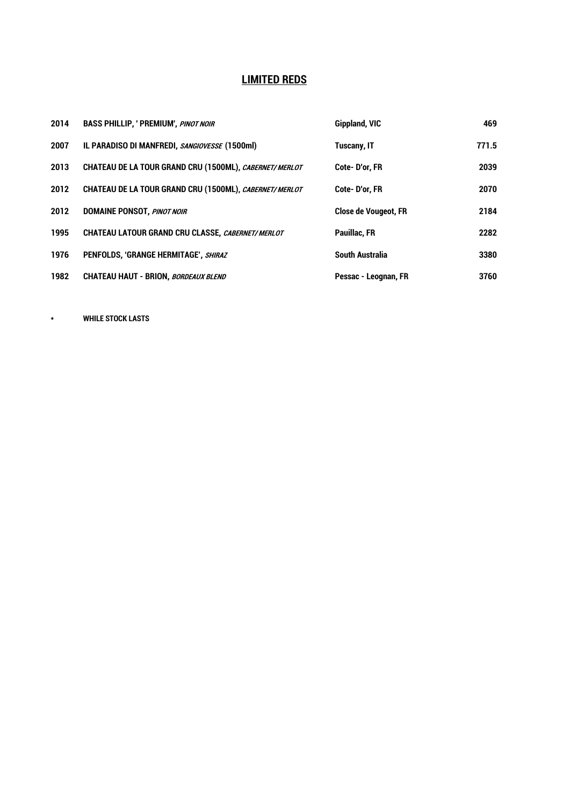# **LIMITED REDS**

| 2014 | <b>BASS PHILLIP, ' PREMIUM', PINOT NOIR</b>             | Gippland, VIC               | 469   |
|------|---------------------------------------------------------|-----------------------------|-------|
| 2007 | IL PARADISO DI MANFREDI, SANGIOVESSE (1500ml)           | <b>Tuscany, IT</b>          | 771.5 |
| 2013 | CHATEAU DE LA TOUR GRAND CRU (1500ML), CABERNET/ MERLOT | Cote-D'or. FR               | 2039  |
| 2012 | CHATEAU DE LA TOUR GRAND CRU (1500ML), CABERNET/ MERLOT | Cote-D'or. FR               | 2070  |
| 2012 | <b>DOMAINE PONSOT, PINOT NOIR</b>                       | <b>Close de Vougeot, FR</b> | 2184  |
| 1995 | CHATEAU LATOUR GRAND CRU CLASSE, CABERNET/MERLOT        | Pauillac, FR                | 2282  |
| 1976 | PENFOLDS, 'GRANGE HERMITAGE', SHIRAZ                    | <b>South Australia</b>      | 3380  |
| 1982 | <b>CHATEAU HAUT - BRION, BORDEAUX BLEND</b>             | Pessac - Leognan, FR        | 3760  |

**\* WHILE STOCK LASTS**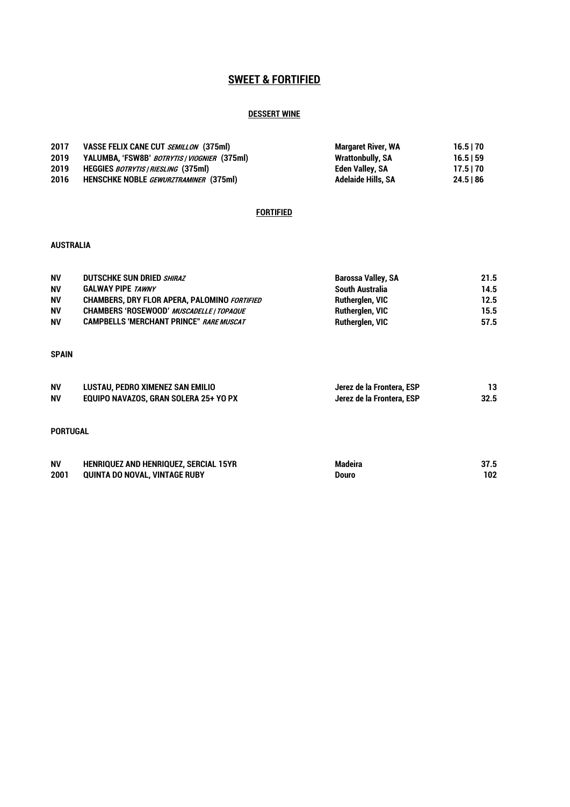# **SWEET & FORTIFIED**

## **DESSERT WINE**

| 2017 | VASSE FELIX CANE CUT SEMILLON (375ml)        | Margaret River, WA      | $16.5$   70 |
|------|----------------------------------------------|-------------------------|-------------|
| 2019 | YALUMBA, 'FSW8B' BOTRYTIS / VIOGNIER (375ml) | <b>Wrattonbully, SA</b> | 16.5159     |
| 2019 | HEGGIES BOTRYTIS   RIESLING (375ml)          | Eden Valley, SA         | 17.5170     |
| 2016 | <b>HENSCHKE NOBLE</b> GEWURZTRAMINER (375ml) | Adelaide Hills. SA      | 24.5186     |

#### **FORTIFIED**

#### **AUSTRALIA**

| <b>NV</b> | <b>DUTSCHKE SUN DRIED SHIRAZ</b>                    | Barossa Valley, SA | 21.5 |
|-----------|-----------------------------------------------------|--------------------|------|
| <b>NV</b> | <b>GALWAY PIPE TAWNY</b>                            | South Australia    | 14.5 |
| <b>NV</b> | <b>CHAMBERS, DRY FLOR APERA, PALOMINO FORTIFIED</b> | Rutherglen, VIC    | 12.5 |
| <b>NV</b> | CHAMBERS 'ROSEWOOD' MUSCADELLE   TOPAQUE            | Rutherglen, VIC    | 15.5 |
| <b>NV</b> | <b>CAMPBELLS 'MERCHANT PRINCE" RARE MUSCAT</b>      | Rutherglen, VIC    | 57.5 |

# **SPAIN**

| <b>NV</b> | LUSTAU, PEDRO XIMENEZ SAN EMILIO      | Jerez de la Frontera, ESP |      |
|-----------|---------------------------------------|---------------------------|------|
| <b>NV</b> | EQUIPO NAVAZOS, GRAN SOLERA 25+ YO PX | Jerez de la Frontera, ESP | 32.5 |

#### **PORTUGAL**

| <b>NV</b> | <b>HENRIQUEZ AND HENRIQUEZ, SERCIAL 15YR</b> | <b>Madeira</b> | 37.5 |
|-----------|----------------------------------------------|----------------|------|
| 2001      | QUINTA DO NOVAL, VINTAGE RUBY                | Douro          | 102  |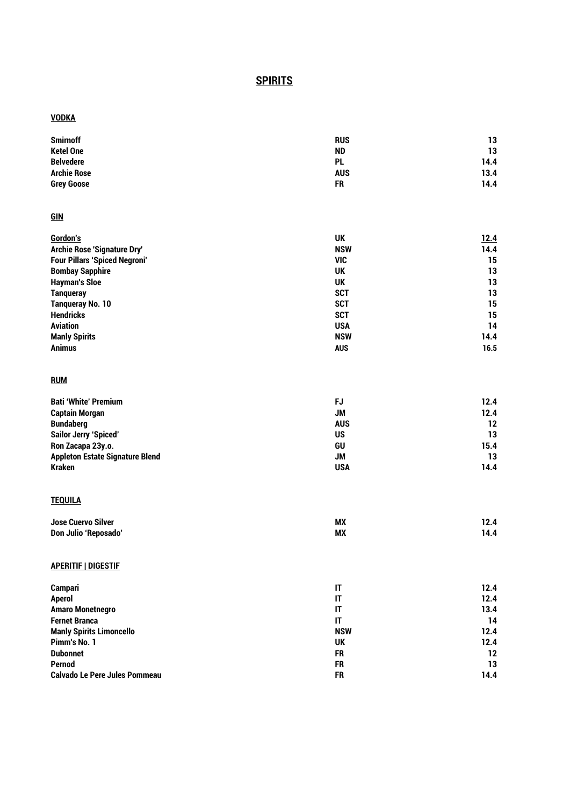# **SPIRITS**

## **VODKA**

| <b>Smirnoff</b>                        | <b>RUS</b>             | 13   |
|----------------------------------------|------------------------|------|
| <b>Ketel One</b>                       | <b>ND</b>              | 13   |
| <b>Belvedere</b>                       | <b>PL</b>              | 14.4 |
| <b>Archie Rose</b>                     | <b>AUS</b>             | 13.4 |
| <b>Grey Goose</b>                      | <b>FR</b>              | 14.4 |
| <b>GIN</b>                             |                        |      |
| Gordon's                               | <b>UK</b>              | 12.4 |
| Archie Rose 'Signature Dry'            | <b>NSW</b>             | 14.4 |
| <b>Four Pillars 'Spiced Negroni'</b>   | <b>VIC</b>             | 15   |
| <b>Bombay Sapphire</b>                 | <b>UK</b>              | 13   |
| <b>Hayman's Sloe</b>                   | UK                     | 13   |
| <b>Tanqueray</b>                       | <b>SCT</b>             | 13   |
| <b>Tanqueray No. 10</b>                | <b>SCT</b>             | 15   |
| <b>Hendricks</b>                       | <b>SCT</b>             | 15   |
| <b>Aviation</b>                        | <b>USA</b>             | 14   |
| <b>Manly Spirits</b>                   | <b>NSW</b>             | 14.4 |
| <b>Animus</b>                          | <b>AUS</b>             | 16.5 |
| <b>RUM</b>                             |                        |      |
| <b>Bati 'White' Premium</b>            | <b>FJ</b>              | 12.4 |
| <b>Captain Morgan</b>                  | <b>JM</b>              | 12.4 |
| <b>Bundaberg</b>                       | <b>AUS</b>             | 12   |
| <b>Sailor Jerry 'Spiced'</b>           | <b>US</b>              | 13   |
| Ron Zacapa 23y.o.                      | GU                     | 15.4 |
| <b>Appleton Estate Signature Blend</b> | <b>JM</b>              | 13   |
| <b>Kraken</b>                          | <b>USA</b>             | 14.4 |
| <b>TEQUILA</b>                         |                        |      |
| <b>Jose Cuervo Silver</b>              | <b>MX</b>              | 12.4 |
| Don Julio 'Reposado'                   | <b>MX</b>              | 14.4 |
| <b>APERITIF   DIGESTIF</b>             |                        |      |
| <b>Campari</b>                         | $\mathsf{I}\mathsf{T}$ | 12.4 |
| <b>Aperol</b>                          | IT                     | 12.4 |
| <b>Amaro Monetnegro</b>                | $\mathsf{I}\mathsf{T}$ | 13.4 |
| <b>Fernet Branca</b>                   | $\mathsf{I}\mathsf{T}$ | 14   |
| <b>Manly Spirits Limoncello</b>        | <b>NSW</b>             | 12.4 |
| Pimm's No. 1                           | <b>UK</b>              | 12.4 |
| <b>Dubonnet</b>                        | <b>FR</b>              | 12   |
| <b>Pernod</b>                          | <b>FR</b>              | 13   |
| <b>Calvado Le Pere Jules Pommeau</b>   | <b>FR</b>              | 14.4 |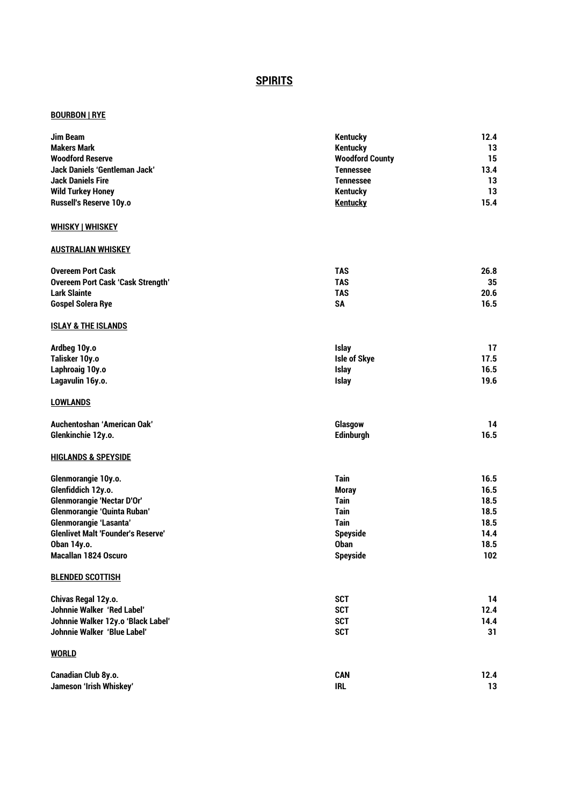# **SPIRITS**

## **BOURBON | RYE**

| <b>Jim Beam</b>                           | <b>Kentucky</b>        | 12.4 |
|-------------------------------------------|------------------------|------|
| <b>Makers Mark</b>                        | <b>Kentucky</b>        | 13   |
| <b>Woodford Reserve</b>                   | <b>Woodford County</b> | 15   |
| <b>Jack Daniels 'Gentleman Jack'</b>      | <b>Tennessee</b>       | 13.4 |
| <b>Jack Daniels Fire</b>                  | <b>Tennessee</b>       | 13   |
| <b>Wild Turkey Honey</b>                  | <b>Kentucky</b>        | 13   |
| Russell's Reserve 10y.o                   | <b>Kentucky</b>        | 15.4 |
| <b>WHISKY   WHISKEY</b>                   |                        |      |
| <b>AUSTRALIAN WHISKEY</b>                 |                        |      |
| <b>Overeem Port Cask</b>                  | <b>TAS</b>             | 26.8 |
| <b>Overeem Port Cask 'Cask Strength'</b>  | <b>TAS</b>             | 35   |
| <b>Lark Slainte</b>                       | <b>TAS</b>             | 20.6 |
| <b>Gospel Solera Rye</b>                  | <b>SA</b>              | 16.5 |
| <b>ISLAY &amp; THE ISLANDS</b>            |                        |      |
| Ardbeg 10y.o                              | <b>Islay</b>           | 17   |
| Talisker 10y.o                            | Isle of Skye           | 17.5 |
| Laphroaig 10y.o                           | <b>Islay</b>           | 16.5 |
| Lagavulin 16y.o.                          | <b>Islay</b>           | 19.6 |
| <b>LOWLANDS</b>                           |                        |      |
| Auchentoshan 'American Oak'               | Glasgow                | 14   |
| Glenkinchie 12y.o.                        | <b>Edinburgh</b>       | 16.5 |
| <b>HIGLANDS &amp; SPEYSIDE</b>            |                        |      |
| Glenmorangie 10y.o.                       | <b>Tain</b>            | 16.5 |
| Glenfiddich 12y.o.                        | <b>Moray</b>           | 16.5 |
| <b>Glenmorangie 'Nectar D'Or'</b>         | <b>Tain</b>            | 18.5 |
| <b>Glenmorangie 'Quinta Ruban'</b>        | <b>Tain</b>            | 18.5 |
| <b>Glenmorangie 'Lasanta'</b>             | <b>Tain</b>            | 18.5 |
| <b>Glenlivet Malt 'Founder's Reserve'</b> | <b>Speyside</b>        | 14.4 |
| Oban 14y.o.                               | <b>Oban</b>            | 18.5 |
| <b>Macallan 1824 Oscuro</b>               | <b>Spevside</b>        | 102  |
| <b>BLENDED SCOTTISH</b>                   |                        |      |
| Chivas Regal 12y.o.                       | <b>SCT</b>             | 14   |
| <b>Johnnie Walker 'Red Label'</b>         | <b>SCT</b>             | 12.4 |
| Johnnie Walker 12y.o 'Black Label'        | <b>SCT</b>             | 14.4 |
| Johnnie Walker 'Blue Label'               | <b>SCT</b>             | 31   |
| <b>WORLD</b>                              |                        |      |
| Canadian Club 8y.o.                       | <b>CAN</b>             | 12.4 |
| Jameson 'Irish Whiskey'                   | <b>IRL</b>             | 13   |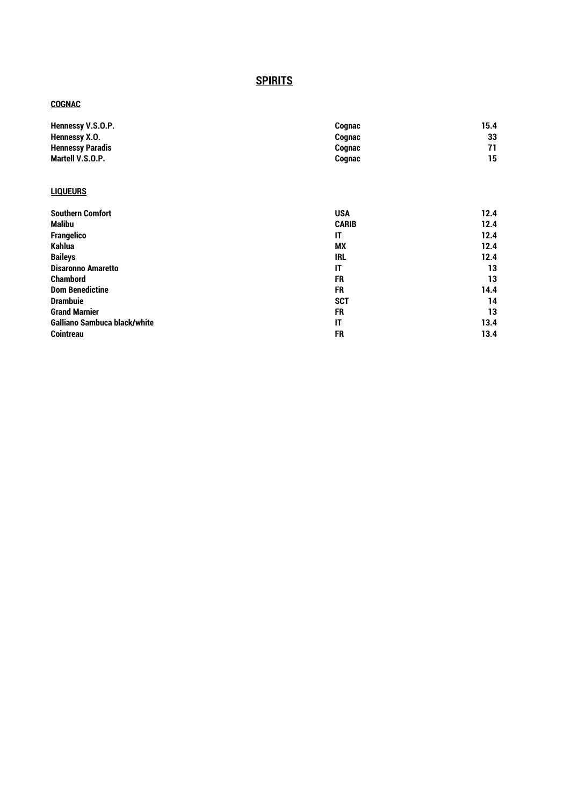# **SPIRITS**

## **COGNAC**

| Hennessy V.S.O.P.       | Cognac | 15.4 |
|-------------------------|--------|------|
| Hennessy X.O.           | Cognac | 33   |
| <b>Hennessy Paradis</b> | Cognac | 71   |
| Martell V.S.O.P.        | Cognac | 15   |

## **LIQUEURS**

| <b>Southern Comfort</b>             | <b>USA</b>   | 12.4 |
|-------------------------------------|--------------|------|
| <b>Malibu</b>                       | <b>CARIB</b> | 12.4 |
| <b>Frangelico</b>                   | IT           | 12.4 |
| <b>Kahlua</b>                       | <b>MX</b>    | 12.4 |
| <b>Baileys</b>                      | <b>IRL</b>   | 12.4 |
| <b>Disaronno Amaretto</b>           | IT           | 13   |
| <b>Chambord</b>                     | <b>FR</b>    | 13   |
| <b>Dom Benedictine</b>              | <b>FR</b>    | 14.4 |
| <b>Drambuie</b>                     | <b>SCT</b>   | 14   |
| <b>Grand Marnier</b>                | <b>FR</b>    | 13   |
| <b>Galliano Sambuca black/white</b> | IT           | 13.4 |
| <b>Cointreau</b>                    | <b>FR</b>    | 13.4 |